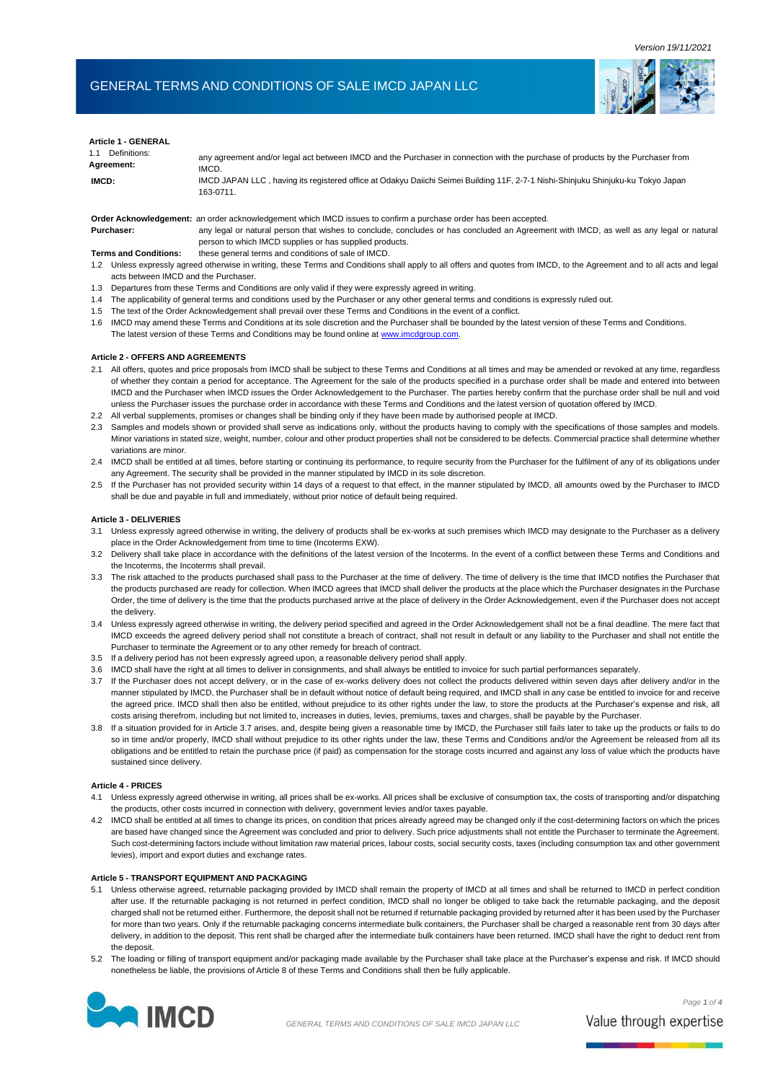*Version 19/11/2021*

# GENERAL TERMS AND CONDITIONS OF SALE IMCD JAPAN LLC



| <b>Article 1 - GENERAL</b><br>1.1 Definitions:<br>Agreement:<br>IMCD: | any agreement and/or legal act between IMCD and the Purchaser in connection with the purchase of products by the Purchaser from<br>IMCD.<br>IMCD JAPAN LLC, having its registered office at Odakyu Daiichi Seimei Building 11F, 2-7-1 Nishi-Shinjuku Shinjuku-ku Tokyo Japan |
|-----------------------------------------------------------------------|------------------------------------------------------------------------------------------------------------------------------------------------------------------------------------------------------------------------------------------------------------------------------|
| Purchaser:                                                            | 163-0711.<br>Order Acknowledgement: an order acknowledgement which IMCD issues to confirm a purchase order has been accepted.<br>any legal or natural person that wishes to conclude, concludes or has concluded an Agreement with IMCD, as well as any legal or natural     |

## **Terms and Conditions:** these general terms and conditions of sale of IMCD.

- 1.2 Unless expressly agreed otherwise in writing, these Terms and Conditions shall apply to all offers and quotes from IMCD, to the Agreement and to all acts and legal acts between IMCD and the Purchaser.
- 1.3 Departures from these Terms and Conditions are only valid if they were expressly agreed in writing.
- 1.4 The applicability of general terms and conditions used by the Purchaser or any other general terms and conditions is expressly ruled out.
- 1.5 The text of the Order Acknowledgement shall prevail over these Terms and Conditions in the event of a conflict.

person to which IMCD supplies or has supplied products.

1.6 IMCD may amend these Terms and Conditions at its sole discretion and the Purchaser shall be bounded by the latest version of these Terms and Conditions. The latest version of these Terms and Conditions may be found online at [www.imcdgroup.com.](http://www.imcdgroup.com/)

### **Article 2 - OFFERS AND AGREEMENTS**

- 2.1 All offers, quotes and price proposals from IMCD shall be subject to these Terms and Conditions at all times and may be amended or revoked at any time, regardless of whether they contain a period for acceptance. The Agreement for the sale of the products specified in a purchase order shall be made and entered into between IMCD and the Purchaser when IMCD issues the Order Acknowledgement to the Purchaser. The parties hereby confirm that the purchase order shall be null and void unless the Purchaser issues the purchase order in accordance with these Terms and Conditions and the latest version of quotation offered by IMCD.
- 2.2 All verbal supplements, promises or changes shall be binding only if they have been made by authorised people at IMCD.
- 2.3 Samples and models shown or provided shall serve as indications only, without the products having to comply with the specifications of those samples and models. Minor variations in stated size, weight, number, colour and other product properties shall not be considered to be defects. Commercial practice shall determine whether variations are minor.
- 2.4 IMCD shall be entitled at all times, before starting or continuing its performance, to require security from the Purchaser for the fulfilment of any of its obligations under any Agreement. The security shall be provided in the manner stipulated by IMCD in its sole discretion.
- 2.5 If the Purchaser has not provided security within 14 days of a request to that effect, in the manner stipulated by IMCD, all amounts owed by the Purchaser to IMCD shall be due and payable in full and immediately, without prior notice of default being required.

#### **Article 3 - DELIVERIES**

- 3.1 Unless expressly agreed otherwise in writing, the delivery of products shall be ex-works at such premises which IMCD may designate to the Purchaser as a delivery place in the Order Acknowledgement from time to time (Incoterms EXW).
- 3.2 Delivery shall take place in accordance with the definitions of the latest version of the Incoterms. In the event of a conflict between these Terms and Conditions and the Incoterms, the Incoterms shall prevail.
- 3.3 The risk attached to the products purchased shall pass to the Purchaser at the time of delivery. The time of delivery is the time that IMCD notifies the Purchaser that the products purchased are ready for collection. When IMCD agrees that IMCD shall deliver the products at the place which the Purchaser designates in the Purchase Order, the time of delivery is the time that the products purchased arrive at the place of delivery in the Order Acknowledgement, even if the Purchaser does not accept the delivery.
- 3.4 Unless expressly agreed otherwise in writing, the delivery period specified and agreed in the Order Acknowledgement shall not be a final deadline. The mere fact that IMCD exceeds the agreed delivery period shall not constitute a breach of contract, shall not result in default or any liability to the Purchaser and shall not entitle the Purchaser to terminate the Agreement or to any other remedy for breach of contract.
- 3.5 If a delivery period has not been expressly agreed upon, a reasonable delivery period shall apply.
- 3.6 IMCD shall have the right at all times to deliver in consignments, and shall always be entitled to invoice for such partial performances separately.
- 3.7 If the Purchaser does not accept delivery, or in the case of ex-works delivery does not collect the products delivered within seven days after delivery and/or in the manner stipulated by IMCD, the Purchaser shall be in default without notice of default being required, and IMCD shall in any case be entitled to invoice for and receive the agreed price. IMCD shall then also be entitled, without prejudice to its other rights under the law, to store the products at the Purchaser's expense and risk, all costs arising therefrom, including but not limited to, increases in duties, levies, premiums, taxes and charges, shall be payable by the Purchaser.
- 3.8 If a situation provided for in Article 3.7 arises, and, despite being given a reasonable time by IMCD, the Purchaser still fails later to take up the products or fails to do so in time and/or properly, IMCD shall without prejudice to its other rights under the law, these Terms and Conditions and/or the Agreement be released from all its obligations and be entitled to retain the purchase price (if paid) as compensation for the storage costs incurred and against any loss of value which the products have sustained since delivery.

#### **Article 4 - PRICES**

- 4.1 Unless expressly agreed otherwise in writing, all prices shall be ex-works. All prices shall be exclusive of consumption tax, the costs of transporting and/or dispatching the products, other costs incurred in connection with delivery, government levies and/or taxes payable.
- 4.2 IMCD shall be entitled at all times to change its prices, on condition that prices already agreed may be changed only if the cost-determining factors on which the prices are based have changed since the Agreement was concluded and prior to delivery. Such price adjustments shall not entitle the Purchaser to terminate the Agreement. Such cost-determining factors include without limitation raw material prices, labour costs, social security costs, taxes (including consumption tax and other government levies), import and export duties and exchange rates.

## **Article 5 - TRANSPORT EQUIPMENT AND PACKAGING**

- 5.1 Unless otherwise agreed, returnable packaging provided by IMCD shall remain the property of IMCD at all times and shall be returned to IMCD in perfect condition after use. If the returnable packaging is not returned in perfect condition, IMCD shall no longer be obliged to take back the returnable packaging, and the deposit charged shall not be returned either. Furthermore, the deposit shall not be returned if returnable packaging provided by returned after it has been used by the Purchaser for more than two years. Only if the returnable packaging concerns intermediate bulk containers, the Purchaser shall be charged a reasonable rent from 30 days after delivery, in addition to the deposit. This rent shall be charged after the intermediate bulk containers have been returned. IMCD shall have the right to deduct rent from the deposit.
- 5.2 The loading or filling of transport equipment and/or packaging made available by the Purchaser shall take place at the Purchaser's expense and risk. If IMCD should nonetheless be liable, the provisions of Article 8 of these Terms and Conditions shall then be fully applicable.



*Page 1 of 4*

Value through expertise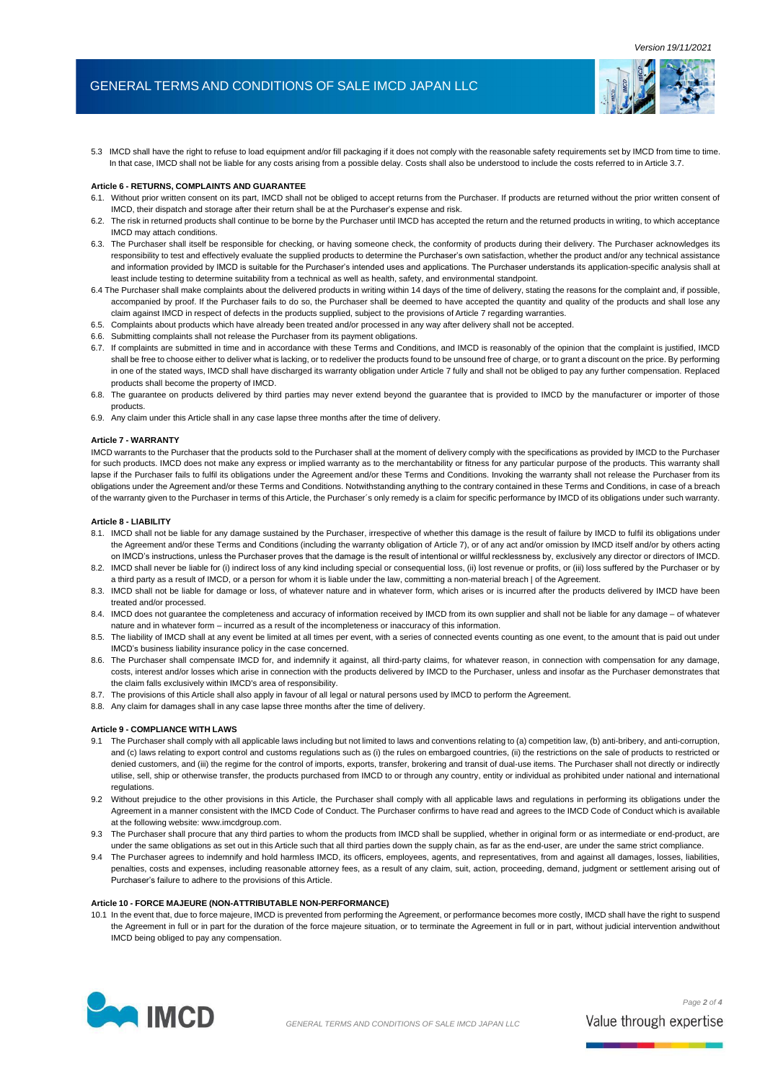# GENERAL TERMS AND CONDITIONS OF SALE IMCD JAPAN LLC



5.3 IMCD shall have the right to refuse to load equipment and/or fill packaging if it does not comply with the reasonable safety requirements set by IMCD from time to time. In that case, IMCD shall not be liable for any costs arising from a possible delay. Costs shall also be understood to include the costs referred to in Article 3.7.

### **Article 6 - RETURNS, COMPLAINTS AND GUARANTEE**

- 6.1. Without prior written consent on its part, IMCD shall not be obliged to accept returns from the Purchaser. If products are returned without the prior written consent of IMCD, their dispatch and storage after their return shall be at the Purchaser's expense and risk.
- 6.2. The risk in returned products shall continue to be borne by the Purchaser until IMCD has accepted the return and the returned products in writing, to which acceptance IMCD may attach conditions.
- 6.3. The Purchaser shall itself be responsible for checking, or having someone check, the conformity of products during their delivery. The Purchaser acknowledges its responsibility to test and effectively evaluate the supplied products to determine the Purchaser's own satisfaction, whether the product and/or any technical assistance and information provided by IMCD is suitable for the Purchaser's intended uses and applications. The Purchaser understands its application-specific analysis shall at least include testing to determine suitability from a technical as well as health, safety, and environmental standpoint.
- 6.4 The Purchaser shall make complaints about the delivered products in writing within 14 days of the time of delivery, stating the reasons for the complaint and, if possible, accompanied by proof. If the Purchaser fails to do so, the Purchaser shall be deemed to have accepted the quantity and quality of the products and shall lose any claim against IMCD in respect of defects in the products supplied, subject to the provisions of Article 7 regarding warranties.
- 6.5. Complaints about products which have already been treated and/or processed in any way after delivery shall not be accepted.
- 6.6. Submitting complaints shall not release the Purchaser from its payment obligations.
- 6.7. If complaints are submitted in time and in accordance with these Terms and Conditions, and IMCD is reasonably of the opinion that the complaint is justified, IMCD shall be free to choose either to deliver what is lacking, or to redeliver the products found to be unsound free of charge, or to grant a discount on the price. By performing in one of the stated ways, IMCD shall have discharged its warranty obligation under Article 7 fully and shall not be obliged to pay any further compensation. Replaced products shall become the property of IMCD.
- 6.8. The guarantee on products delivered by third parties may never extend beyond the guarantee that is provided to IMCD by the manufacturer or importer of those products.
- 6.9. Any claim under this Article shall in any case lapse three months after the time of delivery.

#### **Article 7 - WARRANTY**

IMCD warrants to the Purchaser that the products sold to the Purchaser shall at the moment of delivery comply with the specifications as provided by IMCD to the Purchaser for such products. IMCD does not make any express or implied warranty as to the merchantability or fitness for any particular purpose of the products. This warranty shall lapse if the Purchaser fails to fulfil its obligations under the Agreement and/or these Terms and Conditions. Invoking the warranty shall not release the Purchaser from its obligations under the Agreement and/or these Terms and Conditions. Notwithstanding anything to the contrary contained in these Terms and Conditions, in case of a breach of the warranty given to the Purchaser in terms of this Article, the Purchaser´s only remedy is a claim for specific performance by IMCD of its obligations under such warranty.

#### **Article 8 - LIABILITY**

- 8.1. IMCD shall not be liable for any damage sustained by the Purchaser, irrespective of whether this damage is the result of failure by IMCD to fulfil its obligations under the Agreement and/or these Terms and Conditions (including the warranty obligation of Article 7), or of any act and/or omission by IMCD itself and/or by others acting on IMCD's instructions, unless the Purchaser proves that the damage is the result of intentional or willful recklessness by, exclusively any director or directors of IMCD.
- 8.2. IMCD shall never be liable for (i) indirect loss of any kind including special or consequential loss, (ii) lost revenue or profits, or (iii) loss suffered by the Purchaser or by a third party as a result of IMCD, or a person for whom it is liable under the law, committing a non-material breach | of the Agreement.
- 8.3. IMCD shall not be liable for damage or loss, of whatever nature and in whatever form, which arises or is incurred after the products delivered by IMCD have been treated and/or processed.
- 8.4. IMCD does not guarantee the completeness and accuracy of information received by IMCD from its own supplier and shall not be liable for any damage of whatever nature and in whatever form – incurred as a result of the incompleteness or inaccuracy of this information.
- 8.5. The liability of IMCD shall at any event be limited at all times per event, with a series of connected events counting as one event, to the amount that is paid out under IMCD's business liability insurance policy in the case concerned.
- 8.6. The Purchaser shall compensate IMCD for, and indemnify it against, all third-party claims, for whatever reason, in connection with compensation for any damage, costs, interest and/or losses which arise in connection with the products delivered by IMCD to the Purchaser, unless and insofar as the Purchaser demonstrates that the claim falls exclusively within IMCD's area of responsibility.
- 8.7. The provisions of this Article shall also apply in favour of all legal or natural persons used by IMCD to perform the Agreement.
- 8.8. Any claim for damages shall in any case lapse three months after the time of delivery.

#### **Article 9 - COMPLIANCE WITH LAWS**

- 9.1 The Purchaser shall comply with all applicable laws including but not limited to laws and conventions relating to (a) competition law, (b) anti-bribery, and anti-corruption, and (c) laws relating to export control and customs regulations such as (i) the rules on embargoed countries, (ii) the restrictions on the sale of products to restricted or denied customers, and (iii) the regime for the control of imports, exports, transfer, brokering and transit of dual-use items. The Purchaser shall not directly or indirectly utilise, sell, ship or otherwise transfer, the products purchased from IMCD to or through any country, entity or individual as prohibited under national and international regulations.
- 9.2 Without prejudice to the other provisions in this Article, the Purchaser shall comply with all applicable laws and regulations in performing its obligations under the Agreement in a manner consistent with the IMCD Code of Conduct. The Purchaser confirms to have read and agrees to the IMCD Code of Conduct which is available at the following website[: www.imcdgroup.com.](http://www.imcdgroup.com/)
- 9.3 The Purchaser shall procure that any third parties to whom the products from IMCD shall be supplied, whether in original form or as intermediate or end-product, are under the same obligations as set out in this Article such that all third parties down the supply chain, as far as the end-user, are under the same strict compliance.
- 9.4 The Purchaser agrees to indemnify and hold harmless IMCD, its officers, employees, agents, and representatives, from and against all damages, losses, liabilities, penalties, costs and expenses, including reasonable attorney fees, as a result of any claim, suit, action, proceeding, demand, judgment or settlement arising out of Purchaser's failure to adhere to the provisions of this Article.

#### **Article 10 - FORCE MAJEURE (NON-ATTRIBUTABLE NON-PERFORMANCE)**

10.1 In the event that, due to force majeure, IMCD is prevented from performing the Agreement, or performance becomes more costly, IMCD shall have the right to suspend the Agreement in full or in part for the duration of the force majeure situation, or to terminate the Agreement in full or in part, without judicial intervention andwithout IMCD being obliged to pay any compensation.

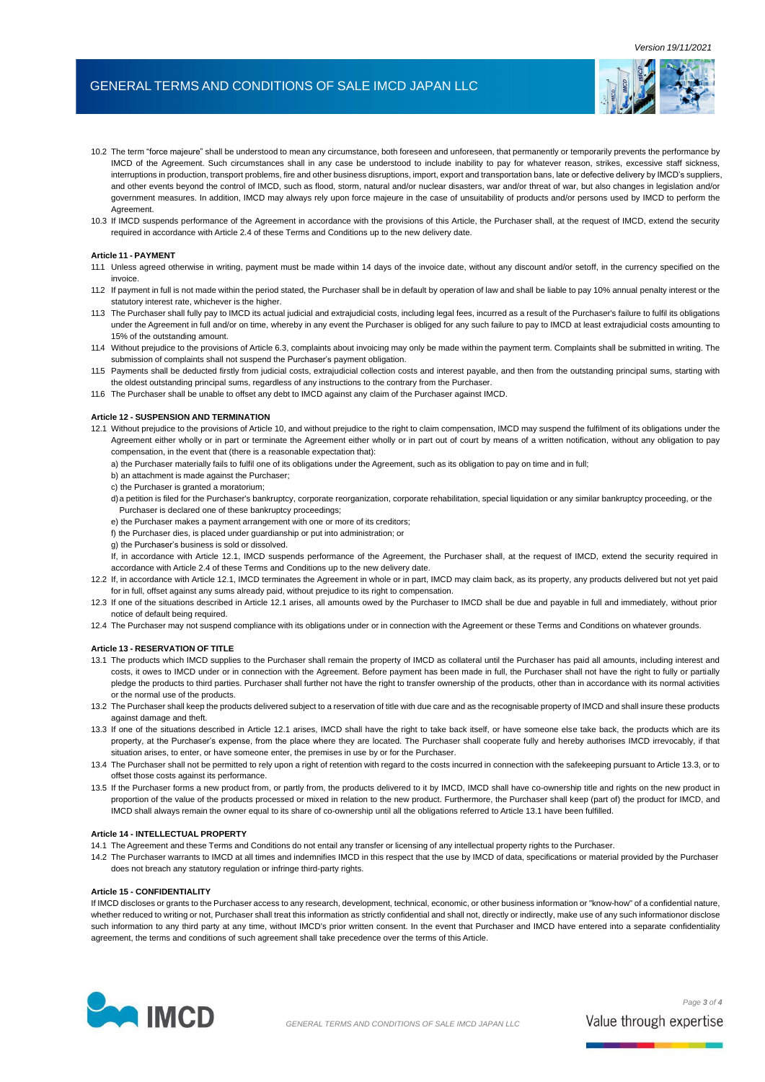## GENERAL TERMS AND CONDITIONS OF SALE IMCD JAPAN LLC



- 10.2 The term "force majeure" shall be understood to mean any circumstance, both foreseen and unforeseen, that permanently or temporarily prevents the performance by IMCD of the Agreement. Such circumstances shall in any case be understood to include inability to pay for whatever reason, strikes, excessive staff sickness, interruptions in production, transport problems, fire and other business disruptions, import, export and transportation bans, late or defective delivery by IMCD's suppliers, and other events beyond the control of IMCD, such as flood, storm, natural and/or nuclear disasters, war and/or threat of war, but also changes in legislation and/or government measures. In addition, IMCD may always rely upon force majeure in the case of unsuitability of products and/or persons used by IMCD to perform the **Agreement**
- 10.3 If IMCD suspends performance of the Agreement in accordance with the provisions of this Article, the Purchaser shall, at the request of IMCD, extend the security required in accordance with Article 2.4 of these Terms and Conditions up to the new delivery date.

#### **Article 11 - PAYMENT**

- 11.1 Unless agreed otherwise in writing, payment must be made within 14 days of the invoice date, without any discount and/or setoff, in the currency specified on the invoice.
- 11.2 If payment in full is not made within the period stated, the Purchaser shall be in default by operation of law and shall be liable to pay 10% annual penalty interest or the statutory interest rate, whichever is the higher
- 11.3 The Purchaser shall fully pay to IMCD its actual judicial and extrajudicial costs, including legal fees, incurred as a result of the Purchaser's failure to fulfil its obligations under the Agreement in full and/or on time, whereby in any event the Purchaser is obliged for any such failure to pay to IMCD at least extrajudicial costs amounting to 15% of the outstanding amount.
- 11.4 Without prejudice to the provisions of Article 6.3, complaints about invoicing may only be made within the payment term. Complaints shall be submitted in writing. The submission of complaints shall not suspend the Purchaser's payment obligation.
- 11.5 Payments shall be deducted firstly from judicial costs, extrajudicial collection costs and interest payable, and then from the outstanding principal sums, starting with the oldest outstanding principal sums, regardless of any instructions to the contrary from the Purchaser.
- 11.6 The Purchaser shall be unable to offset any debt to IMCD against any claim of the Purchaser against IMCD.

#### **Article 12 - SUSPENSION AND TERMINATION**

- 12.1 Without prejudice to the provisions of Article 10, and without prejudice to the right to claim compensation, IMCD may suspend the fulfilment of its obligations under the Agreement either wholly or in part or terminate the Agreement either wholly or in part out of court by means of a written notification, without any obligation to pay compensation, in the event that (there is a reasonable expectation that):
	- a) the Purchaser materially fails to fulfil one of its obligations under the Agreement, such as its obligation to pay on time and in full;
	- b) an attachment is made against the Purchaser;
	- c) the Purchaser is granted a moratorium;
	- d)a petition is filed for the Purchaser's bankruptcy, corporate reorganization, corporate rehabilitation, special liquidation or any similar bankruptcy proceeding, or the Purchaser is declared one of these bankruptcy proceedings;
	- e) the Purchaser makes a payment arrangement with one or more of its creditors;
	- f) the Purchaser dies, is placed under guardianship or put into administration; or
	- g) the Purchaser's business is sold or dissolved.
	- If, in accordance with Article 12.1, IMCD suspends performance of the Agreement, the Purchaser shall, at the request of IMCD, extend the security required in accordance with Article 2.4 of these Terms and Conditions up to the new delivery date.
- 12.2 If, in accordance with Article 12.1, IMCD terminates the Agreement in whole or in part, IMCD may claim back, as its property, any products delivered but not yet paid for in full, offset against any sums already paid, without prejudice to its right to compensation.
- 12.3 If one of the situations described in Article 12.1 arises, all amounts owed by the Purchaser to IMCD shall be due and payable in full and immediately, without prior notice of default being required.
- 12.4 The Purchaser may not suspend compliance with its obligations under or in connection with the Agreement or these Terms and Conditions on whatever grounds.

#### **Article 13 - RESERVATION OF TITLE**

- 13.1 The products which IMCD supplies to the Purchaser shall remain the property of IMCD as collateral until the Purchaser has paid all amounts, including interest and costs, it owes to IMCD under or in connection with the Agreement. Before payment has been made in full, the Purchaser shall not have the right to fully or partially pledge the products to third parties. Purchaser shall further not have the right to transfer ownership of the products, other than in accordance with its normal activities or the normal use of the products.
- 13.2 The Purchaser shall keep the products delivered subject to a reservation of title with due care and as the recognisable property of IMCD and shall insure these products against damage and theft.
- 13.3 If one of the situations described in Article 12.1 arises, IMCD shall have the right to take back itself, or have someone else take back, the products which are its property, at the Purchaser's expense, from the place where they are located. The Purchaser shall cooperate fully and hereby authorises IMCD irrevocably, if that situation arises, to enter, or have someone enter, the premises in use by or for the Purchaser.
- 13.4 The Purchaser shall not be permitted to rely upon a right of retention with regard to the costs incurred in connection with the safekeeping pursuant to Article 13.3, or to offset those costs against its performance.
- 13.5 If the Purchaser forms a new product from, or partly from, the products delivered to it by IMCD, IMCD shall have co-ownership title and rights on the new product in proportion of the value of the products processed or mixed in relation to the new product. Furthermore, the Purchaser shall keep (part of) the product for IMCD, and IMCD shall always remain the owner equal to its share of co-ownership until all the obligations referred to Article 13.1 have been fulfilled.

## **Article 14 - INTELLECTUAL PROPERTY**

14.1 The Agreement and these Terms and Conditions do not entail any transfer or licensing of any intellectual property rights to the Purchaser.

14.2 The Purchaser warrants to IMCD at all times and indemnifies IMCD in this respect that the use by IMCD of data, specifications or material provided by the Purchaser does not breach any statutory regulation or infringe third-party rights.

### **Article 15 - CONFIDENTIALITY**

If IMCD discloses or grants to the Purchaser access to any research, development, technical, economic, or other business information or "know-how" of a confidential nature, whether reduced to writing or not, Purchaser shall treat this information as strictly confidential and shall not, directly or indirectly, make use of any such informationor disclose such information to any third party at any time, without IMCD's prior written consent. In the event that Purchaser and IMCD have entered into a separate confidentiality agreement, the terms and conditions of such agreement shall take precedence over the terms of this Article.



*Page 3 of 4* Value through expertise